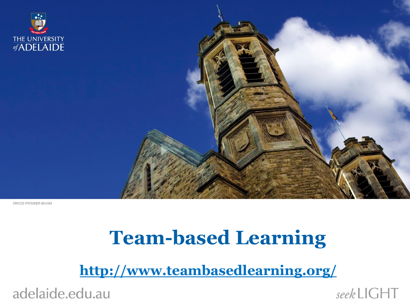

CRICOS PROVIDER 00123M

### **Team-based Learning**

**<http://www.teambasedlearning.org/>**

adelaide.edu.au

seekLIGHT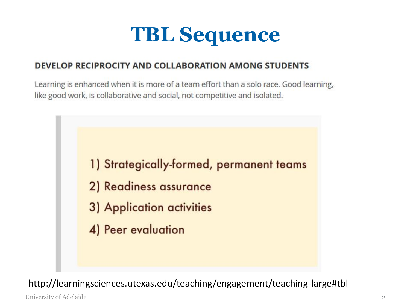## **TBL Sequence**

#### **DEVELOP RECIPROCITY AND COLLABORATION AMONG STUDENTS**

Learning is enhanced when it is more of a team effort than a solo race. Good learning, like good work, is collaborative and social, not competitive and isolated.



http://learningsciences.utexas.edu/teaching/engagement/teaching-large#tbl

University of Adelaide 2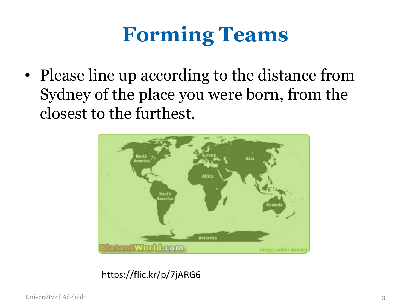## **Forming Teams**

• Please line up according to the distance from Sydney of the place you were born, from the closest to the furthest.



#### https://flic.kr/p/7jARG6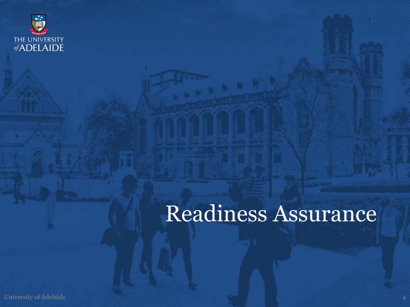

## Readiness Assurance

University of Adelaide 4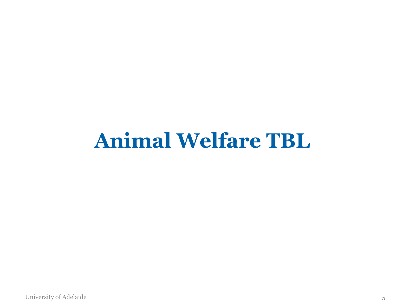## **Animal Welfare TBL**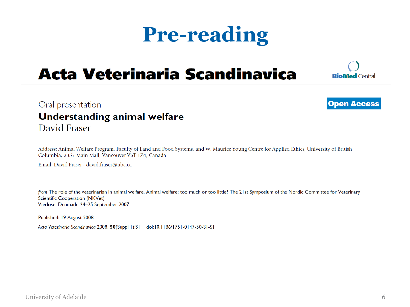## **Pre-reading**

### **Acta Veterinaria Scandinavica**



**Open Access** 

#### Oral presentation Understanding animal welfare David Fraser

Address: Animal Welfare Program, Faculty of Land and Food Systems, and W. Maurice Young Centre for Applied Ethics, University of British Columbia, 2357 Main Mall, Vancouver V6T 1Z4, Canada

Email: David Fraser - david.fraser@ubc.ca

from The role of the veterinarian in animal welfare. Animal welfare: too much or too little? The 21st Symposium of the Nordic Committee for Veterinary Scientific Cooperation (NKVet) Værløse, Denmark. 24-25 September 2007

University of Adelaide 6

Published: 19 August 2008

Acta Veterinaria Scandinavica 2008, 50(Suppl 1):S1 doi:10.1186/1751-0147-50-S1-S1

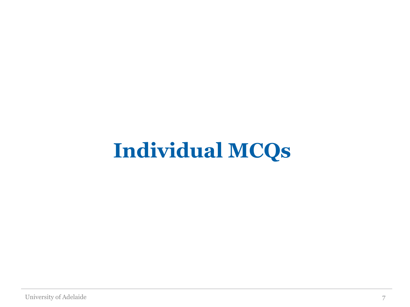## **Individual MCQs**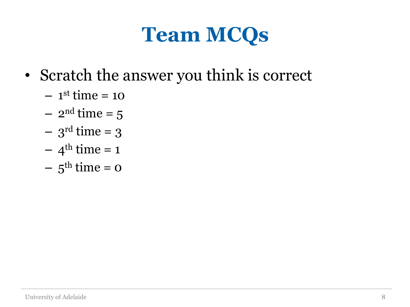## **Team MCQs**

- Scratch the answer you think is correct
	- $-1<sup>st</sup>$  time = 10
	- $-2^{\text{nd}}$  time = 5
	- $-3$ <sup>rd</sup> time = 3
	- $-4^{\text{th}}$  time = 1
	- $-5^{\text{th}}$  time = 0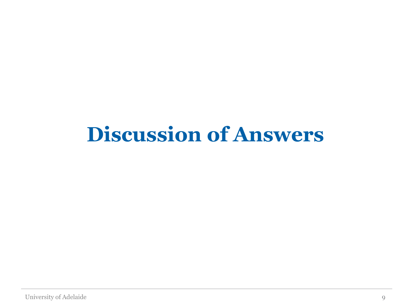## **Discussion of Answers**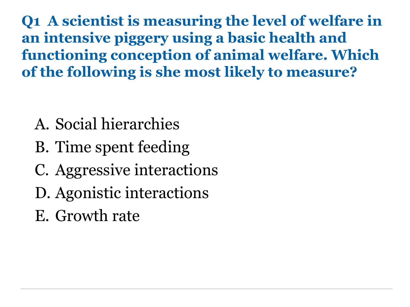**Q1 A scientist is measuring the level of welfare in an intensive piggery using a basic health and functioning conception of animal welfare. Which of the following is she most likely to measure?**

- A. Social hierarchies
- B. Time spent feeding
- C. Aggressive interactions
- D. Agonistic interactions
- E. Growth rate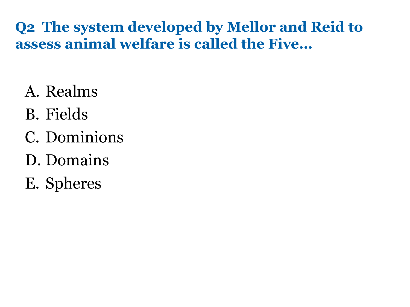#### **Q2 The system developed by Mellor and Reid to assess animal welfare is called the Five…**

- A. Realms
- B. Fields
- C. Dominions
- D. Domains
- E. Spheres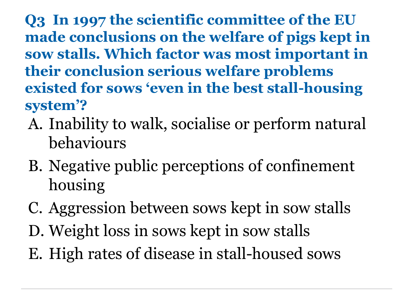**Q3 In 1997 the scientific committee of the EU made conclusions on the welfare of pigs kept in sow stalls. Which factor was most important in their conclusion serious welfare problems existed for sows 'even in the best stall-housing system'?** 

- A. Inability to walk, socialise or perform natural behaviours
- B. Negative public perceptions of confinement housing
- C. Aggression between sows kept in sow stalls
- D. Weight loss in sows kept in sow stalls
- E. High rates of disease in stall-housed sows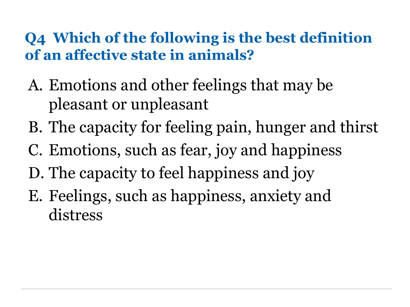#### **Q4 Which of the following is the best definition of an affective state in animals?**

- A. Emotions and other feelings that may be pleasant or unpleasant
- B. The capacity for feeling pain, hunger and thirst
- C. Emotions, such as fear, joy and happiness
- D. The capacity to feel happiness and joy
- E. Feelings, such as happiness, anxiety and distress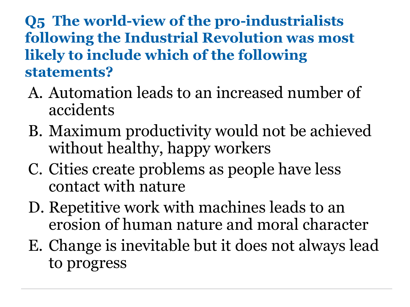**Q5 The world-view of the pro-industrialists following the Industrial Revolution was most likely to include which of the following statements?**

- A. Automation leads to an increased number of accidents
- B. Maximum productivity would not be achieved without healthy, happy workers
- C. Cities create problems as people have less contact with nature
- D. Repetitive work with machines leads to an erosion of human nature and moral character
- E. Change is inevitable but it does not always lead to progress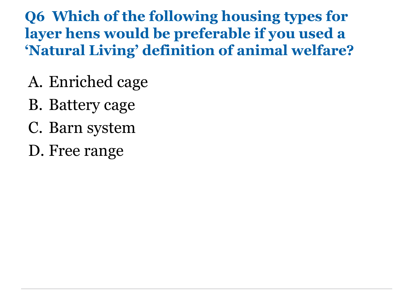**Q6 Which of the following housing types for layer hens would be preferable if you used a 'Natural Living' definition of animal welfare?**

- A. Enriched cage
- B. Battery cage
- C. Barn system
- D. Free range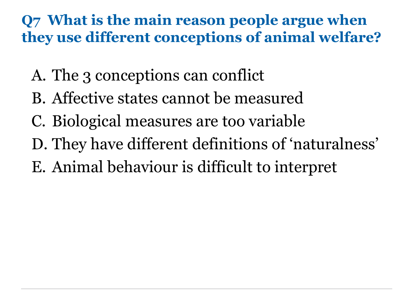#### **Q7 What is the main reason people argue when they use different conceptions of animal welfare?**

- A. The 3 conceptions can conflict
- B. Affective states cannot be measured
- C. Biological measures are too variable
- D. They have different definitions of 'naturalness'
- E. Animal behaviour is difficult to interpret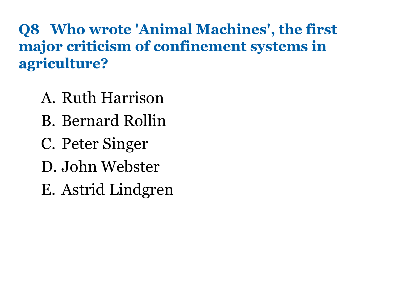**Q8 Who wrote 'Animal Machines', the first major criticism of confinement systems in agriculture?**

- A. Ruth Harrison
- B. Bernard Rollin
- C. Peter Singer
- D. John Webster
- E. Astrid Lindgren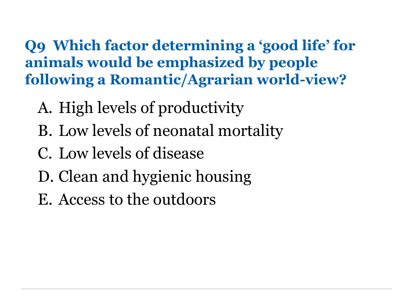**Q9 Which factor determining a 'good life' for animals would be emphasized by people following a Romantic/Agrarian world-view?**

- A. High levels of productivity
- B. Low levels of neonatal mortality
- C. Low levels of disease
- D. Clean and hygienic housing
- E. Access to the outdoors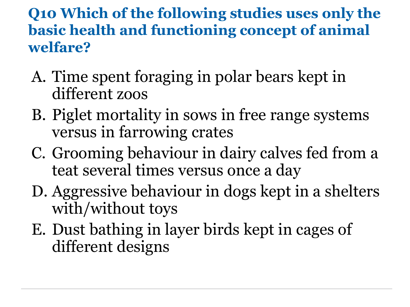#### **Q10 Which of the following studies uses only the basic health and functioning concept of animal welfare?**

- A. Time spent foraging in polar bears kept in different zoos
- B. Piglet mortality in sows in free range systems versus in farrowing crates
- C. Grooming behaviour in dairy calves fed from a teat several times versus once a day
- D. Aggressive behaviour in dogs kept in a shelters with/without toys
- E. Dust bathing in layer birds kept in cages of different designs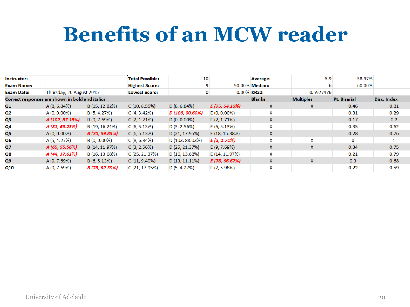## **Benefits of an MCW reader**

| Instructor:       |                                                 |                | <b>Total Possible:</b> | 10               |                  | <b>Average:</b>       | 5.9              | 58.97%       |             |
|-------------------|-------------------------------------------------|----------------|------------------------|------------------|------------------|-----------------------|------------------|--------------|-------------|
| <b>Exam Name:</b> |                                                 |                | <b>Highest Score:</b>  |                  |                  | 90.00% <b>Median:</b> |                  | 60.00%       |             |
| <b>Exam Date:</b> | Thursday, 20 August 2015                        |                | <b>Lowest Score:</b>   |                  |                  | 0.00% KR20:           | 0.5977476        |              |             |
|                   | Correct responses are shown in bold and italics |                |                        |                  |                  | <b>Blanks</b>         | <b>Multiples</b> | Pt. Biserial | Disc. Index |
| Q1                | A(8, 6.84%)                                     | B (15, 12.82%) | C(10, 8.55%)           | D(8, 6.84%)      | $E(75, 64.10\%)$ | $\mathsf{X}$          | X                | 0.46         | 0.81        |
| Q2                | A (0, 0.00%)                                    | B (5, 4.27%)   | C(4, 3.42%)            | D (106, 90.60%)  | $E(0, 0.00\%)$   | x                     |                  | 0.31         | 0.29        |
| Q <sub>3</sub>    | A (102, 87.18%)                                 | B (9, 7.69%)   | $C(2, 1.71\%)$         | $D(0, 0.00\%)$   | $E(2, 1.71\%)$   | $\mathsf{X}$          |                  | 0.17         | 0.2         |
| Q4                | A (81, 69.23%)                                  | B (19, 16.24%) | C(6, 5.13%)            | D(3, 2.56%)      | E(6, 5.13%)      | x                     |                  | 0.35         | 0.62        |
| Q5                | $A(0, 0.00\%)$                                  | B (70, 59.83%) | C(6, 5.13%)            | D(21, 17.95%)    | E (18, 15.38%)   | $\mathsf{x}$          |                  | 0.28         | 0.76        |
| Q6                | A (5, 4.27%)                                    | B (0, 0.00%)   | C(8, 6.84%)            | D (103, 88.03%)  | $E(2, 1.71\%)$   | X.                    | X                | 0            |             |
| Q7                | A (65, 55.56%)                                  | B (14, 11.97%) | C(3, 2.56%)            | D(25, 21.37%)    | E(9, 7.69%)      | X.                    | X                | 0.34         | 0.75        |
| Q8                | A (44, 37.61%)                                  | B (16, 13.68%) | C(25, 21.37%)          | D(16, 13.68%)    | E (14, 11.97%)   | x                     |                  | 0.21         | 0.79        |
| Q9                | A (9, 7.69%)                                    | B (6, 5.13%)   | C(11, 9.40%)           | $D(13, 11.11\%)$ | E (78, 66.67%)   | <b>X</b>              | X                | 0.3          | 0.68        |
| Q10               | A (9, 7.69%)                                    | B (73, 62.39%) | C (21, 17.95%)         | D(5, 4.27%)      | E (7, 5.98%)     | x                     |                  | 0.22         | 0.59        |
|                   |                                                 |                |                        |                  |                  |                       |                  |              |             |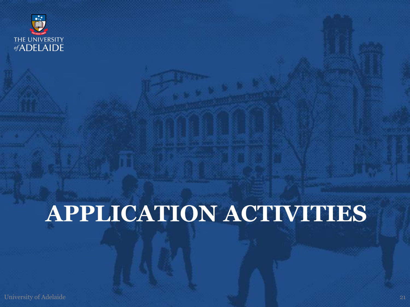

# **APPLICATION ACTIVITIES**

University of Adelaide 21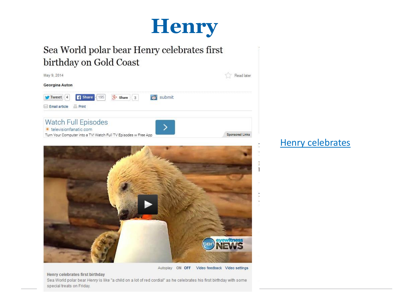

#### Sea World polar bear Henry celebrates first birthday on Gold Coast





Autoplay ON OFF Video feedback Video settings

#### **[Henry celebrates](http://www.brisbanetimes.com.au/queensland/sea-world-polar-bear-henry-celebrates-first-birthday-on-gold-coast-20140509-zr8a9.html)**

 $\mathbf{1}$ 

#### Henry celebrates first birthday

Sea World polar bear Henry is like "a child on a lot of red cordial" as he celebrates his first birthday with some special treats on Friday.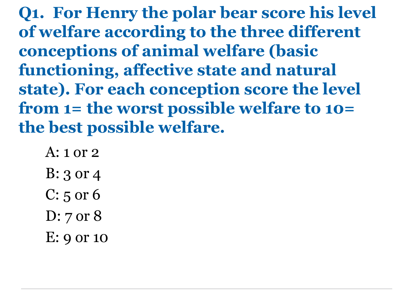**Q1. For Henry the polar bear score his level of welfare according to the three different conceptions of animal welfare (basic functioning, affective state and natural state). For each conception score the level from 1= the worst possible welfare to 10= the best possible welfare.** 

- A: 1 or 2
- B: 3 or 4
- C: 5 or 6
- D: 7 or 8
- E: 9 or 10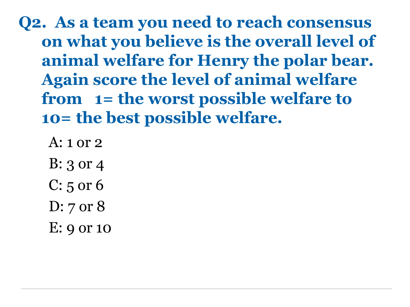**Q2. As a team you need to reach consensus on what you believe is the overall level of animal welfare for Henry the polar bear. Again score the level of animal welfare from 1= the worst possible welfare to 10= the best possible welfare.**

- A: 1 or 2
- B: 3 or 4
- C: 5 or 6
- D: 7 or 8
- E: 9 or 10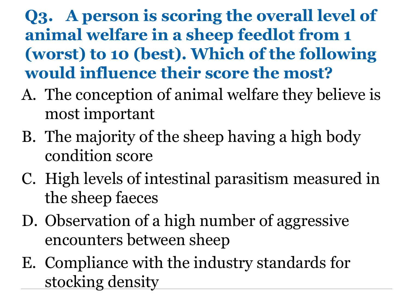### **Q3. A person is scoring the overall level of animal welfare in a sheep feedlot from 1 (worst) to 10 (best). Which of the following would influence their score the most?**

- A. The conception of animal welfare they believe is most important
- B. The majority of the sheep having a high body condition score
- C. High levels of intestinal parasitism measured in the sheep faeces
- D. Observation of a high number of aggressive encounters between sheep
- E. Compliance with the industry standards for stocking density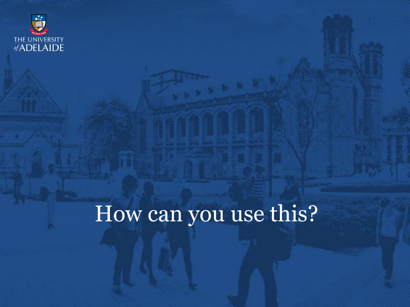

## How can you use this?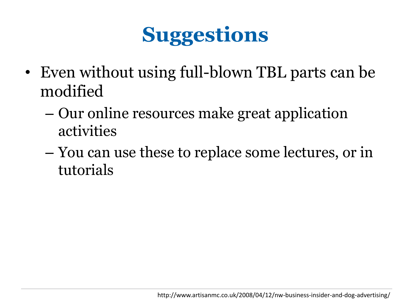## **Suggestions**

- Even without using full-blown TBL parts can be modified
	- Our online resources make great application activities
	- You can use these to replace some lectures, or in tutorials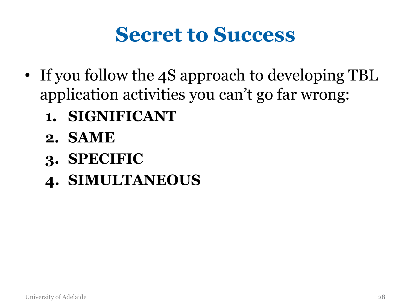### **Secret to Success**

- If you follow the 4S approach to developing TBL application activities you can't go far wrong:
	- **1. SIGNIFICANT**
	- **2. SAME**
	- **3. SPECIFIC**
	- **4. SIMULTANEOUS**